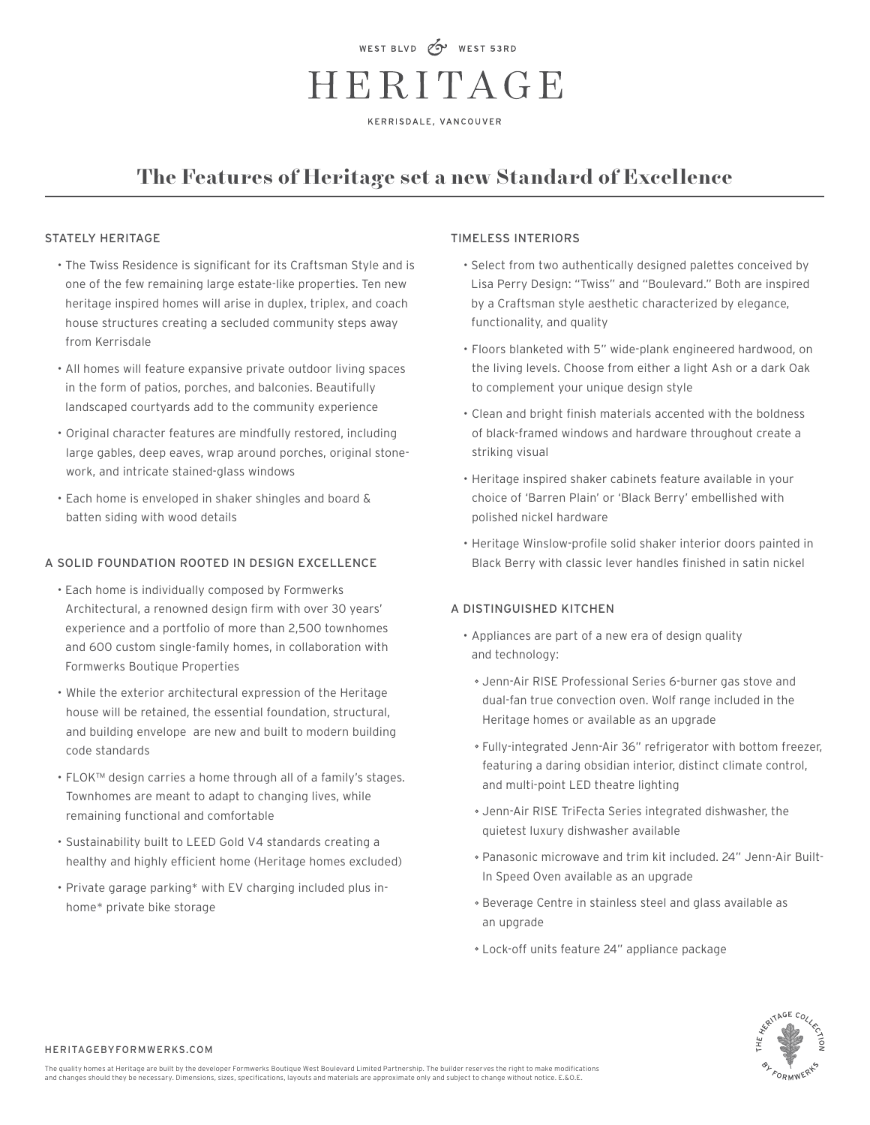# WEST BLVD CV WEST 53RD HERITAGE

KERRISDALE, VANCOUVER

# **The Features of Heritage set a new Standard of Excellence**

#### STATELY HERITAGE

- The Twiss Residence is significant for its Craftsman Style and is one of the few remaining large estate-like properties. Ten new heritage inspired homes will arise in duplex, triplex, and coach house structures creating a secluded community steps away from Kerrisdale
- All homes will feature expansive private outdoor living spaces in the form of patios, porches, and balconies. Beautifully landscaped courtyards add to the community experience
- Original character features are mindfully restored, including large gables, deep eaves, wrap around porches, original stonework, and intricate stained-glass windows
- Each home is enveloped in shaker shingles and board & batten siding with wood details

### A SOLID FOUNDATION ROOTED IN DESIGN EXCELLENCE

- Each home is individually composed by Formwerks Architectural, a renowned design firm with over 30 years' experience and a portfolio of more than 2,500 townhomes and 600 custom single-family homes, in collaboration with Formwerks Boutique Properties
- While the exterior architectural expression of the Heritage house will be retained, the essential foundation, structural, and building envelope are new and built to modern building code standards
- FLOK™ design carries a home through all of a family's stages. Townhomes are meant to adapt to changing lives, while remaining functional and comfortable
- Sustainability built to LEED Gold V4 standards creating a healthy and highly efficient home (Heritage homes excluded)
- Private garage parking\* with EV charging included plus inhome\* private bike storage

#### TIMELESS INTERIORS

- Select from two authentically designed palettes conceived by Lisa Perry Design: "Twiss" and "Boulevard." Both are inspired by a Craftsman style aesthetic characterized by elegance, functionality, and quality
- Floors blanketed with 5" wide-plank engineered hardwood, on the living levels. Choose from either a light Ash or a dark Oak to complement your unique design style
- Clean and bright finish materials accented with the boldness of black-framed windows and hardware throughout create a striking visual
- Heritage inspired shaker cabinets feature available in your choice of 'Barren Plain' or 'Black Berry' embellished with polished nickel hardware
- Heritage Winslow-profile solid shaker interior doors painted in Black Berry with classic lever handles finished in satin nickel

# A DISTINGUISHED KITCHEN

- Appliances are part of a new era of design quality and technology:
	- Jenn-Air RISE Professional Series 6-burner gas stove and dual-fan true convection oven. Wolf range included in the Heritage homes or available as an upgrade
	- Fully-integrated Jenn-Air 36" refrigerator with bottom freezer, featuring a daring obsidian interior, distinct climate control, and multi-point LED theatre lighting
	- Jenn-Air RISE TriFecta Series integrated dishwasher, the quietest luxury dishwasher available
	- Panasonic microwave and trim kit included. 24" Jenn-Air Built-In Speed Oven available as an upgrade
	- Beverage Centre in stainless steel and glass available as an upgrade
	- Lock-off units feature 24" appliance package



HERITAGEBYFORMWERKS.COM

The quality homes at Heritage are built by the developer Formwerks Boutique West Boulevard Limited Partnership. The builder reserves the right to make modifications and changes should they be necessary. Dimensions, sizes, specifications, layouts and materials are approximate only and subject to change without notice. E.&O.E.